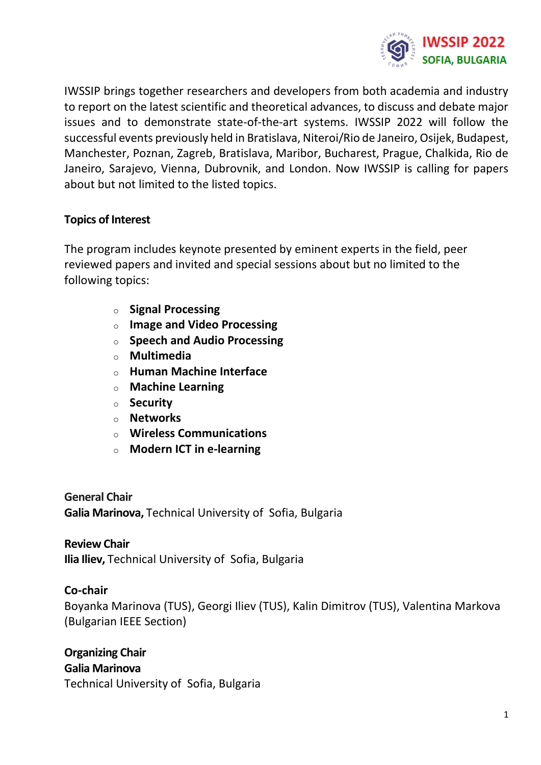

IWSSIP brings together researchers and developers from both academia and industry to report on the latest scientific and theoretical advances, to discuss and debate major issues and to demonstrate state-of-the-art systems. IWSSIP 2022 will follow the successful events previously held in Bratislava, Niteroi/Rio de Janeiro, Osijek, Budapest, Manchester, Poznan, Zagreb, Bratislava, Maribor, Bucharest, Prague, Chalkida, Rio de Janeiro, Sarajevo, Vienna, Dubrovnik, and London. Now IWSSIP is calling for papers about but not limited to the listed topics.

#### **Topics of Interest**

The program includes keynote presented by eminent experts in the field, peer reviewed papers and invited and special sessions about but no limited to the following topics:

- o **Signal Processing**
- o **Image and Video Processing**
- o **Speech and Audio Processing**
- o **Multimedia**
- o **Human Machine Interface**
- o **Machine Learning**
- o **Security**
- o **Networks**
- o **Wireless Communications**
- o **Modern ICT in e-learning**

**General Chair Galia Marinova,** Technical University of Sofia, Bulgaria

## **Review Chair Ilia Iliev,** Technical University of Sofia, Bulgaria

#### **Co-chair**

Boyanka Marinova (TUS), Georgi Iliev (TUS), Kalin Dimitrov (TUS), Valentina Markova (Bulgarian IEEE Section)

**Organizing Chair Galia Marinova** Technical University of Sofia, Bulgaria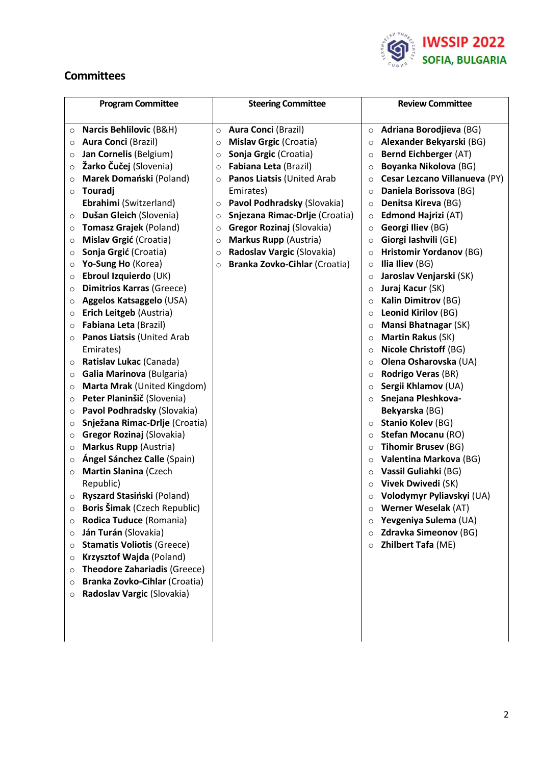

#### **Committees**

| <b>Program Committee</b>                       | <b>Steering Committee</b>                    | <b>Review Committee</b>                        |
|------------------------------------------------|----------------------------------------------|------------------------------------------------|
| <b>Narcis Behlilovic (B&amp;H)</b>             | <b>Aura Conci (Brazil)</b>                   | <b>Adriana Borodjieva (BG)</b>                 |
| $\circ$<br><b>Aura Conci (Brazil)</b>          | $\circ$<br>Mislav Grgic (Croatia)<br>$\circ$ | $\circ$<br>Alexander Bekyarski (BG)<br>$\circ$ |
| $\circ$<br>Jan Cornelis (Belgium)              | Sonja Grgic (Croatia)<br>$\circ$             | <b>Bernd Eichberger (AT)</b><br>$\circ$        |
| $\circ$<br>Žarko Čučej (Slovenia)<br>$\circ$   | Fabiana Leta (Brazil)<br>$\circ$             | Boyanka Nikolova (BG)<br>$\circ$               |
| Marek Domański (Poland)<br>$\circ$             | Panos Liatsis (United Arab<br>$\circ$        | Cesar Lezcano Villanueva (PY)<br>$\circ$       |
| Touradj<br>$\circ$                             | Emirates)                                    | Daniela Borissova (BG)<br>$\circ$              |
| Ebrahimi (Switzerland)                         | Pavol Podhradsky (Slovakia)<br>$\circ$       | Denitsa Kireva (BG)<br>$\circ$                 |
| Dušan Gleich (Slovenia)<br>$\circ$             | Snjezana Rimac-Drlje (Croatia)<br>$\circ$    | <b>Edmond Hajrizi (AT)</b><br>$\circ$          |
| Tomasz Grajek (Poland)<br>$\circ$              | Gregor Rozinaj (Slovakia)<br>$\circ$         | Georgi Iliev (BG)<br>$\circ$                   |
| Mislav Grgić (Croatia)<br>$\circ$              | Markus Rupp (Austria)<br>$\circ$             | Giorgi Iashvili (GE)<br>$\circ$                |
| Sonja Grgić (Croatia)<br>$\circ$               | Radoslav Vargic (Slovakia)<br>$\circ$        | <b>Hristomir Yordanov (BG)</b><br>$\circ$      |
| Yo-Sung Ho (Korea)<br>$\circ$                  | Branka Zovko-Cihlar (Croatia)<br>$\circ$     | Ilia Iliev (BG)<br>$\circ$                     |
| Ebroul Izquierdo (UK)<br>$\circ$               |                                              | Jaroslav Venjarski (SK)<br>$\circ$             |
| <b>Dimitrios Karras (Greece)</b><br>$\circ$    |                                              | Juraj Kacur (SK)<br>$\circ$                    |
| Aggelos Katsaggelo (USA)<br>$\circ$            |                                              | <b>Kalin Dimitrov (BG)</b><br>$\circ$          |
| Erich Leitgeb (Austria)<br>$\circ$             |                                              | Leonid Kirilov (BG)<br>$\circ$                 |
| Fabiana Leta (Brazil)<br>$\circ$               |                                              | Mansi Bhatnagar (SK)<br>$\circ$                |
| Panos Liatsis (United Arab<br>$\circ$          |                                              | Martin Rakus (SK)<br>$\circ$                   |
| Emirates)                                      |                                              | <b>Nicole Christoff (BG)</b><br>$\circ$        |
| Ratislav Lukac (Canada)<br>$\circ$             |                                              | Olena Osharovska (UA)<br>$\circ$               |
| Galia Marinova (Bulgaria)<br>$\circ$           |                                              | Rodrigo Veras (BR)<br>$\circ$                  |
| Marta Mrak (United Kingdom)<br>$\circ$         |                                              | Sergii Khlamov (UA)<br>$\circ$                 |
| Peter Planinšič (Slovenia)<br>$\circ$          |                                              | Snejana Pleshkova-<br>$\circ$                  |
| Pavol Podhradsky (Slovakia)<br>$\circ$         |                                              | Bekyarska (BG)                                 |
| Snježana Rimac-Drlje (Croatia)<br>$\circ$      |                                              | <b>Stanio Kolev (BG)</b><br>$\circ$            |
| <b>Gregor Rozinaj (Slovakia)</b><br>$\circ$    |                                              | <b>Stefan Mocanu (RO)</b><br>$\circ$           |
| Markus Rupp (Austria)<br>$\circ$               |                                              | <b>Tihomir Brusev (BG)</b><br>$\circ$          |
| Ángel Sánchez Calle (Spain)<br>$\circ$         |                                              | Valentina Markova (BG)<br>$\circ$              |
| <b>Martin Slanina (Czech</b><br>$\circ$        |                                              | Vassil Guliahki (BG)<br>$\circ$                |
| Republic)                                      |                                              | Vivek Dwivedi (SK)<br>$\circ$                  |
| Ryszard Stasiński (Poland)<br>$\circ$          |                                              | Volodymyr Pyliavskyi (UA)<br>$\circ$           |
| Boris Šimak (Czech Republic)<br>$\circ$        |                                              | <b>Werner Weselak (AT)</b><br>$\circ$          |
| Rodica Tuduce (Romania)<br>$\circ$             |                                              | Yevgeniya Sulema (UA)<br>$\circ$               |
| Ján Turán (Slovakia)<br>$\circ$                |                                              | <b>Zdravka Simeonov (BG)</b><br>$\circ$        |
| <b>Stamatis Voliotis (Greece)</b><br>$\circ$   |                                              | Zhilbert Tafa (ME)<br>$\circ$                  |
| Krzysztof Wajda (Poland)<br>$\circ$            |                                              |                                                |
| <b>Theodore Zahariadis (Greece)</b><br>$\circ$ |                                              |                                                |
| Branka Zovko-Cihlar (Croatia)<br>$\circ$       |                                              |                                                |
| Radoslav Vargic (Slovakia)<br>$\circ$          |                                              |                                                |
|                                                |                                              |                                                |
|                                                |                                              |                                                |
|                                                |                                              |                                                |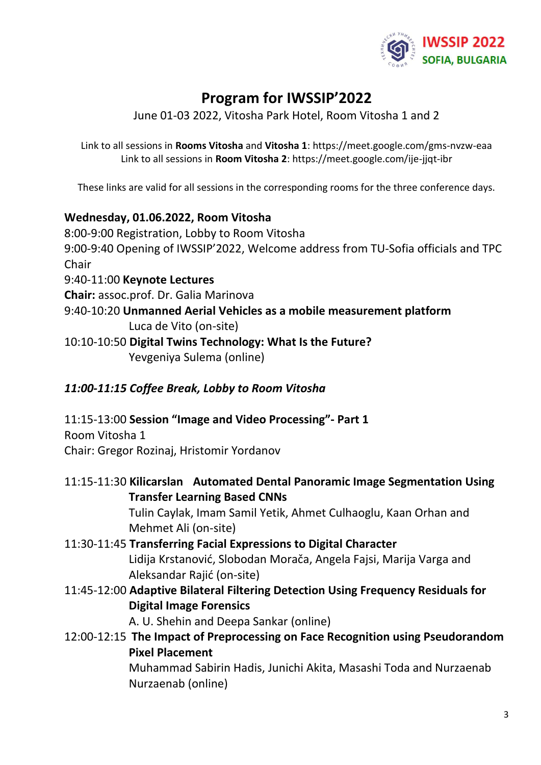

# **Program for IWSSIP'2022**

June 01-03 2022, Vitosha Park Hotel, Room Vitosha 1 and 2

Link to all sessions in **Rooms Vitosha** and **Vitosha 1**: https://meet.google.com/gms-nvzw-eaa Link to all sessions in **Room Vitosha 2**: https://meet.google.com/ije-jjqt-ibr

These links are valid for all sessions in the corresponding rooms for the three conference days.

#### **Wednesday, 01.06.2022, Room Vitosha**

8:00-9:00 Registration, Lobby to Room Vitosha 9:00-9:40 Opening of IWSSIP'2022, Welcome address from TU-Sofia officials and TPC **Chair** 9:40-11:00 **Keynote Lectures Chair:** assoc.prof. Dr. Galia Marinova 9:40-10:20 **Unmanned Aerial Vehicles as a mobile measurement platform** Luca de Vito (on-site) 10:10-10:50 **Digital Twins Technology: What Is the Future?**

Yevgeniya Sulema (online)

#### *11:00-11:15 Coffee Break, Lobby to Room Vitosha*

11:15-13:00 **Session "Image and Video Processing"- Part 1** Room Vitosha 1

Chair: Gregor Rozinaj, Hristomir Yordanov

## 11:15-11:30 **Kilicarslan Automated Dental Panoramic Image Segmentation Using Transfer Learning Based CNNs**

Tulin Caylak, Imam Samil Yetik, Ahmet Culhaoglu, Kaan Orhan and Mehmet Ali (on-site)

- 11:30-11:45 **Transferring Facial Expressions to Digital Character** Lidija Krstanović, Slobodan Morača, Angela Fajsi, Marija Varga and Aleksandar Rajić (on-site)
- 11:45-12:00 **Adaptive Bilateral Filtering Detection Using Frequency Residuals for Digital Image Forensics**

A. U. Shehin and Deepa Sankar (online)

12:00-12:15 **The Impact of Preprocessing on Face Recognition using Pseudorandom Pixel Placement**

> Muhammad Sabirin Hadis, Junichi Akita, Masashi Toda and Nurzaenab Nurzaenab (online)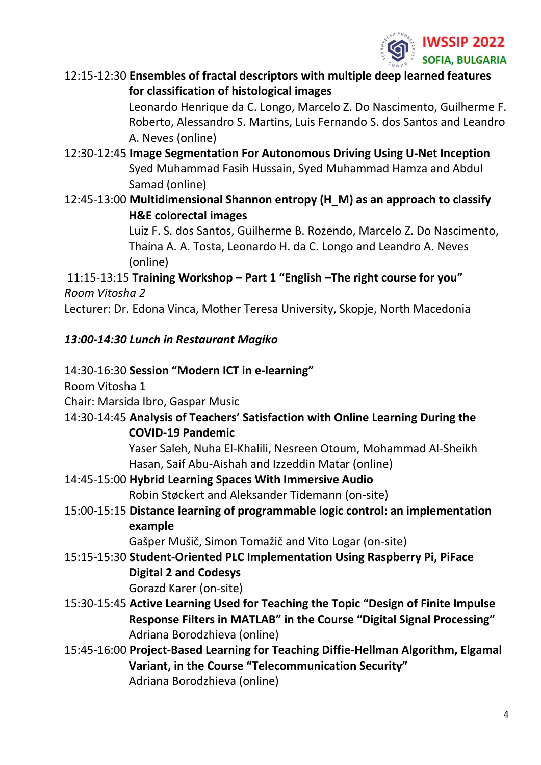

12:15-12:30 **Ensembles of fractal descriptors with multiple deep learned features for classification of histological images**

> Leonardo Henrique da C. Longo, Marcelo Z. Do Nascimento, Guilherme F. Roberto, Alessandro S. Martins, Luis Fernando S. dos Santos and Leandro A. Neves (online)

- 12:30-12:45 **Image Segmentation For Autonomous Driving Using U-Net Inception** Syed Muhammad Fasih Hussain, Syed Muhammad Hamza and Abdul Samad (online)
- 12:45-13:00 **Multidimensional Shannon entropy (H\_M) as an approach to classify H&E colorectal images**

Luiz F. S. dos Santos, Guilherme B. Rozendo, Marcelo Z. Do Nascimento, Thaína A. A. Tosta, Leonardo H. da C. Longo and Leandro A. Neves (online)

# 11:15-13:15 **Training Workshop – Part 1 "English –The right course for you"**  *Room Vitosha 2*

Lecturer: Dr. Edona Vinca, Mother Teresa University, Skopje, North Macedonia

# *13:00-14:30 Lunch in Restaurant Magiko*

# 14:30-16:30 **Session "Modern ICT in e-learning"**

Room Vitosha 1

Chair: Marsida Ibro, Gaspar Music

14:30-14:45 **Analysis of Teachers' Satisfaction with Online Learning During the COVID-19 Pandemic**

> Yaser Saleh, Nuha El-Khalili, Nesreen Otoum, Mohammad Al-Sheikh Hasan, Saif Abu-Aishah and Izzeddin Matar (online)

- 14:45-15:00 **Hybrid Learning Spaces With Immersive Audio** Robin Støckert and Aleksander Tidemann (on-site)
- 15:00-15:15 **Distance learning of programmable logic control: an implementation example**

Gašper Mušič, Simon Tomažič and Vito Logar (on-site)

- 15:15-15:30 **Student-Oriented PLC Implementation Using Raspberry Pi, PiFace Digital 2 and Codesys** Gorazd Karer (on-site)
- 15:30-15:45 **Active Learning Used for Teaching the Topic "Design of Finite Impulse Response Filters in MATLAB" in the Course "Digital Signal Processing"** Adriana Borodzhieva (online)
- 15:45-16:00 **Project-Based Learning for Teaching Diffie-Hellman Algorithm, Elgamal Variant, in the Course "Telecommunication Security"** Adriana Borodzhieva (online)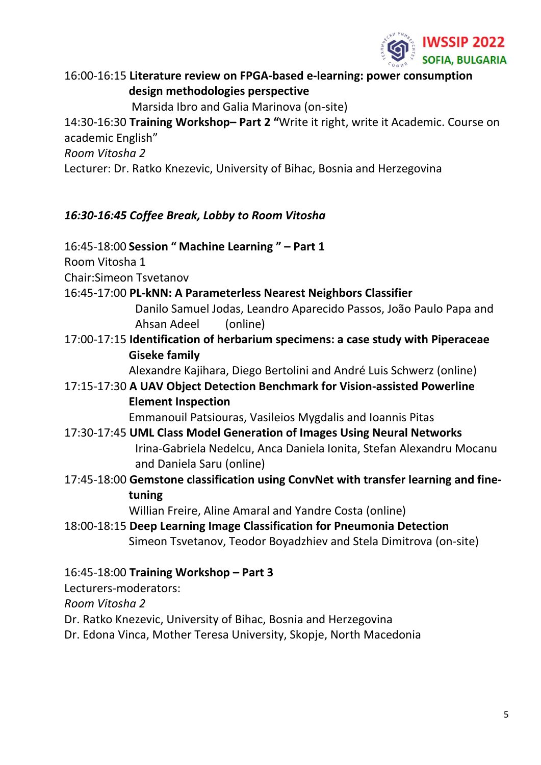

16:00-16:15 **Literature review on FPGA-based e-learning: power consumption design methodologies perspective**

Marsida Ibro and Galia Marinova (on-site)

14:30-16:30 **Training Workshop– Part 2 "**Write it right, write it Academic. Course on academic English"

*Room Vitosha 2*

Lecturer: Dr. Ratko Knezevic, University of Bihac, Bosnia and Herzegovina

# *16:30-16:45 Coffee Break, Lobby to Room Vitosha*

16:45-18:00 **Session " Machine Learning " – Part 1**

Room Vitosha 1

Chair:Simeon Tsvetanov

16:45-17:00 **PL-kNN: A Parameterless Nearest Neighbors Classifier**

Danilo Samuel Jodas, Leandro Aparecido Passos, João Paulo Papa and Ahsan Adeel (online)

17:00-17:15 **Identification of herbarium specimens: a case study with Piperaceae Giseke family**

Alexandre Kajihara, Diego Bertolini and André Luis Schwerz (online)

# 17:15-17:30 **A UAV Object Detection Benchmark for Vision-assisted Powerline Element Inspection**

Emmanouil Patsiouras, Vasileios Mygdalis and Ioannis Pitas

- 17:30-17:45 **UML Class Model Generation of Images Using Neural Networks** Irina-Gabriela Nedelcu, Anca Daniela Ionita, Stefan Alexandru Mocanu and Daniela Saru (online)
- 17:45-18:00 **Gemstone classification using ConvNet with transfer learning and finetuning**

Willian Freire, Aline Amaral and Yandre Costa (online)

18:00-18:15 **Deep Learning Image Classification for Pneumonia Detection** Simeon Tsvetanov, Teodor Boyadzhiev and Stela Dimitrova (on-site)

# 16:45-18:00 **Training Workshop – Part 3**

Lecturers-moderators:

*Room Vitosha 2*

- Dr. Ratko Knezevic, University of Bihac, Bosnia and Herzegovina
- Dr. Edona Vinca, Mother Teresa University, Skopje, North Macedonia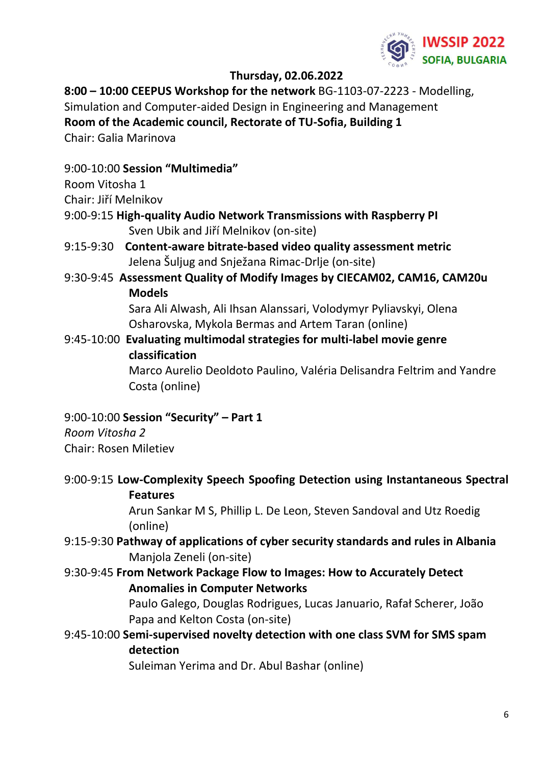

#### **Thursday, 02.06.2022**

**8:00 – 10:00 CEEPUS Workshop for the network** BG-1103-07-2223 - Modelling, Simulation and Computer-aided Design in Engineering and Management **Room of the Academic council, Rectorate of TU-Sofia, Building 1**

Chair: Galia Marinova

## 9:00-10:00 **Session "Multimedia"**

## Room Vitosha 1

Chair: Jiří Melnikov

- 9:00-9:15 **High-quality Audio Network Transmissions with Raspberry PI** Sven Ubik and Jiří Melnikov (on-site)
- 9:15-9:30 **Content-aware bitrate-based video quality assessment metric** Jelena Šuljug and Snježana Rimac-Drlje (on-site)
- 9:30-9:45 **Assessment Quality of Modify Images by CIECAM02, CAM16, CAM20u Models**

Sara Ali Alwash, Ali Ihsan Alanssari, Volodymyr Pyliavskyi, Olena Osharovska, Mykola Bermas and Artem Taran (online)

9:45-10:00 **Evaluating multimodal strategies for multi-label movie genre classification**

Marco Aurelio Deoldoto Paulino, Valéria Delisandra Feltrim and Yandre Costa (online)

## 9:00-10:00 **Session "Security" – Part 1**

*Room Vitosha 2* Chair: Rosen Miletiev

9:00-9:15 **Low-Complexity Speech Spoofing Detection using Instantaneous Spectral Features**

Arun Sankar M S, Phillip L. De Leon, Steven Sandoval and Utz Roedig (online)

- 9:15-9:30 **Pathway of applications of cyber security standards and rules in Albania** Manjola Zeneli (on-site)
- 9:30-9:45 **From Network Package Flow to Images: How to Accurately Detect Anomalies in Computer Networks**

Paulo Galego, Douglas Rodrigues, Lucas Januario, Rafał Scherer, João Papa and Kelton Costa (on-site)

9:45-10:00 **Semi-supervised novelty detection with one class SVM for SMS spam detection** 

Suleiman Yerima and Dr. Abul Bashar (online)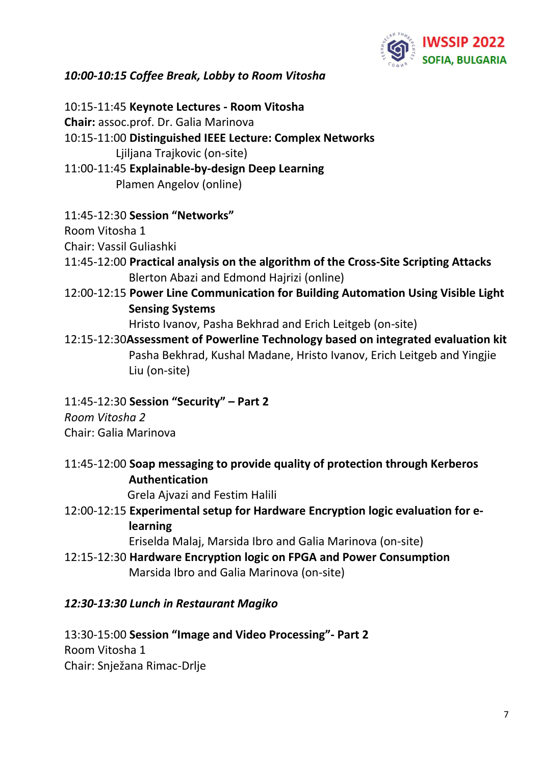

## *10:00-10:15 Coffee Break, Lobby to Room Vitosha*

10:15-11:45 **Keynote Lectures - Room Vitosha Chair:** assoc.prof. Dr. Galia Marinova 10:15-11:00 **Distinguished IEEE Lecture: Complex Networks** Ljiljana Trajkovic (on-site) 11:00-11:45 **Explainable-by-design Deep Learning** Plamen Angelov (online)

11:45-12:30 **Session "Networks"**

Room Vitosha 1

Chair: Vassil Guliashki

- 11:45-12:00 **Practical analysis on the algorithm of the Cross-Site Scripting Attacks** Blerton Abazi and Edmond Hajrizi (online)
- 12:00-12:15 **Power Line Communication for Building Automation Using Visible Light Sensing Systems**

Hristo Ivanov, Pasha Bekhrad and Erich Leitgeb (on-site)

- 12:15-12:30**Assessment of Powerline Technology based on integrated evaluation kit** Pasha Bekhrad, Kushal Madane, Hristo Ivanov, Erich Leitgeb and Yingjie Liu (on-site)
- 11:45-12:30 **Session "Security" – Part 2**

*Room Vitosha 2* Chair: Galia Marinova

11:45-12:00 **Soap messaging to provide quality of protection through Kerberos Authentication** 

Grela Ajvazi and Festim Halili

12:00-12:15 **Experimental setup for Hardware Encryption logic evaluation for elearning**

Eriselda Malaj, Marsida Ibro and Galia Marinova (on-site)

12:15-12:30 **Hardware Encryption logic on FPGA and Power Consumption** Marsida Ibro and Galia Marinova (on-site)

#### *12:30-13:30 Lunch in Restaurant Magiko*

13:30-15:00 **Session "Image and Video Processing"- Part 2** Room Vitosha 1 Chair: Snježana Rimac-Drlje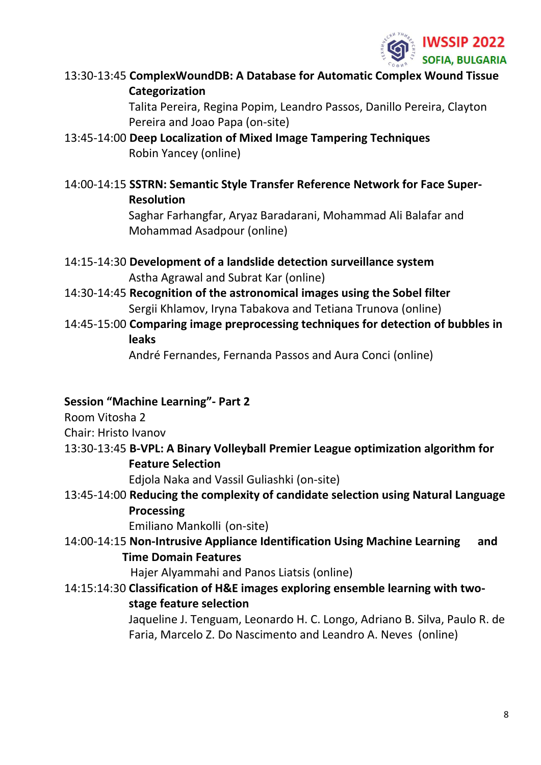

13:30-13:45 **ComplexWoundDB: A Database for Automatic Complex Wound Tissue Categorization**

> Talita Pereira, Regina Popim, Leandro Passos, Danillo Pereira, Clayton Pereira and Joao Papa (on-site)

- 13:45-14:00 **Deep Localization of Mixed Image Tampering Techniques** Robin Yancey (online)
- 14:00-14:15 **SSTRN: Semantic Style Transfer Reference Network for Face Super-Resolution**

Saghar Farhangfar, Aryaz Baradarani, Mohammad Ali Balafar and Mohammad Asadpour (online)

- 14:15-14:30 **Development of a landslide detection surveillance system** Astha Agrawal and Subrat Kar (online)
- 14:30-14:45 **Recognition of the astronomical images using the Sobel filter** Sergii Khlamov, Iryna Tabakova and Tetiana Trunova (online)
- 14:45-15:00 **Comparing image preprocessing techniques for detection of bubbles in leaks**

André Fernandes, Fernanda Passos and Aura Conci (online)

## **Session "Machine Learning"- Part 2**

Room Vitosha 2

Chair: Hristo Ivanov

13:30-13:45 **B-VPL: A Binary Volleyball Premier League optimization algorithm for Feature Selection**

Edjola Naka and Vassil Guliashki (on-site)

13:45-14:00 **Reducing the complexity of candidate selection using Natural Language Processing**

Emiliano Mankolli (on-site)

14:00-14:15 **Non-Intrusive Appliance Identification Using Machine Learning and Time Domain Features**

Hajer Alyammahi and Panos Liatsis (online)

14:15:14:30 **Classification of H&E images exploring ensemble learning with twostage feature selection**

> Jaqueline J. Tenguam, Leonardo H. C. Longo, Adriano B. Silva, Paulo R. de Faria, Marcelo Z. Do Nascimento and Leandro A. Neves (online)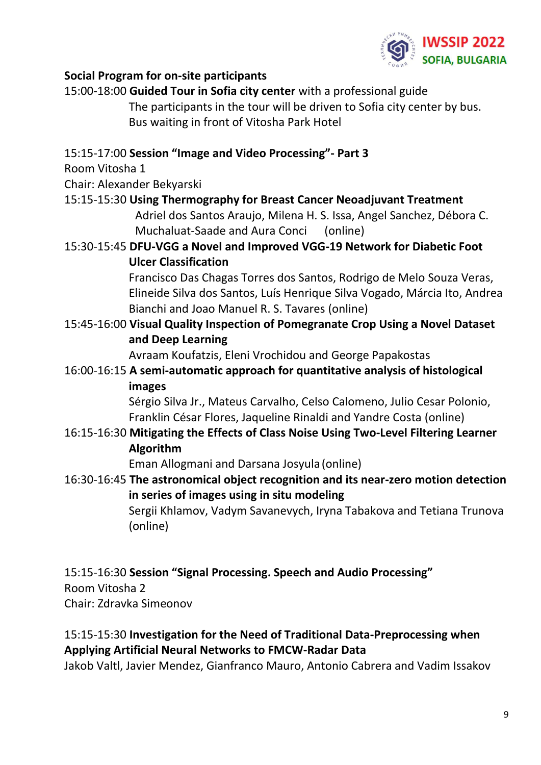

#### **Social Program for on-site participants**

| 15:00-18:00 Guided Tour in Sofia city center with a professional guide                                              |  |
|---------------------------------------------------------------------------------------------------------------------|--|
| The participants in the tour will be driven to Sofia city center by bus.                                            |  |
| Bus waiting in front of Vitosha Park Hotel                                                                          |  |
|                                                                                                                     |  |
| 15:15-17:00 Session "Image and Video Processing"- Part 3                                                            |  |
| Room Vitosha 1                                                                                                      |  |
| Chair: Alexander Bekyarski                                                                                          |  |
| 15:15-15:30 Using Thermography for Breast Cancer Neoadjuvant Treatment                                              |  |
| Adriel dos Santos Araujo, Milena H. S. Issa, Angel Sanchez, Débora C.<br>Muchaluat-Saade and Aura Conci<br>(online) |  |
| 15:30-15:45 DFU-VGG a Novel and Improved VGG-19 Network for Diabetic Foot                                           |  |
| <b>Ulcer Classification</b>                                                                                         |  |
| Francisco Das Chagas Torres dos Santos, Rodrigo de Melo Souza Veras,                                                |  |
| Elineide Silva dos Santos, Luís Henrique Silva Vogado, Márcia Ito, Andrea                                           |  |
| Bianchi and Joao Manuel R. S. Tavares (online)                                                                      |  |
| 15:45-16:00 Visual Quality Inspection of Pomegranate Crop Using a Novel Dataset                                     |  |
| and Deep Learning                                                                                                   |  |
| Avraam Koufatzis, Eleni Vrochidou and George Papakostas                                                             |  |
| 16:00-16:15 A semi-automatic approach for quantitative analysis of histological                                     |  |
| images                                                                                                              |  |
| Sérgio Silva Jr., Mateus Carvalho, Celso Calomeno, Julio Cesar Polonio,                                             |  |
| Franklin César Flores, Jaqueline Rinaldi and Yandre Costa (online)                                                  |  |
| 16:15-16:30 Mitigating the Effects of Class Noise Using Two-Level Filtering Learner                                 |  |
| Algorithm                                                                                                           |  |
| Eman Allogmani and Darsana Josyula (online)                                                                         |  |
| 16:30-16:45 The astronomical object recognition and its near-zero motion detection                                  |  |
| in series of images using in situ modeling                                                                          |  |
| Sergii Khlamov, Vadym Savanevych, Iryna Tabakova and Tetiana Trunova                                                |  |
| (online)                                                                                                            |  |
|                                                                                                                     |  |
|                                                                                                                     |  |

15:15-16:30 **Session "Signal Processing. Speech and Audio Processing"** Room Vitosha 2 Chair: Zdravka Simeonov

15:15-15:30 **Investigation for the Need of Traditional Data-Preprocessing when Applying Artificial Neural Networks to FMCW-Radar Data**

Jakob Valtl, Javier Mendez, Gianfranco Mauro, Antonio Cabrera and Vadim Issakov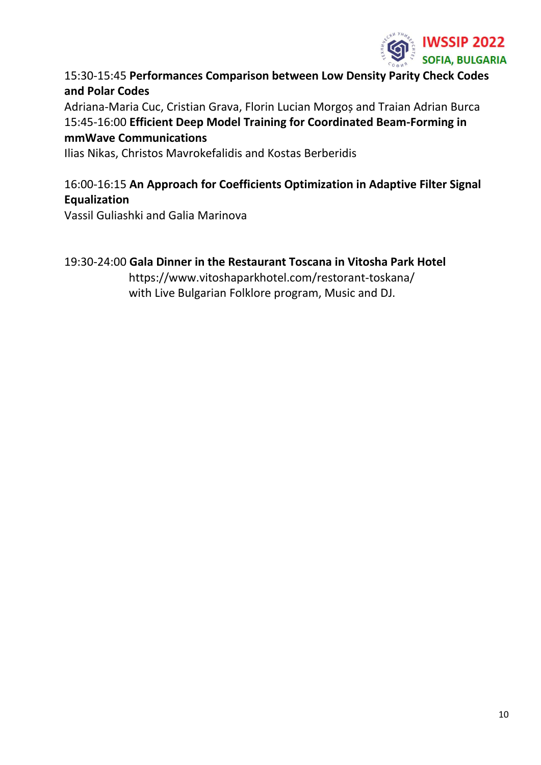

## 15:30-15:45 **Performances Comparison between Low Density Parity Check Codes and Polar Codes**

Adriana-Maria Cuc, Cristian Grava, Florin Lucian Morgoș and Traian Adrian Burca 15:45-16:00 **Efficient Deep Model Training for Coordinated Beam-Forming in mmWave Communications**

Ilias Nikas, Christos Mavrokefalidis and Kostas Berberidis

## 16:00-16:15 **An Approach for Coefficients Optimization in Adaptive Filter Signal Equalization**

Vassil Guliashki and Galia Marinova

## 19:30-24:00 **Gala Dinner in the Restaurant Toscana in Vitosha Park Hotel**

https://www.vitoshaparkhotel.com/restorant-toskana/ with Live Bulgarian Folklore program, Music and DJ.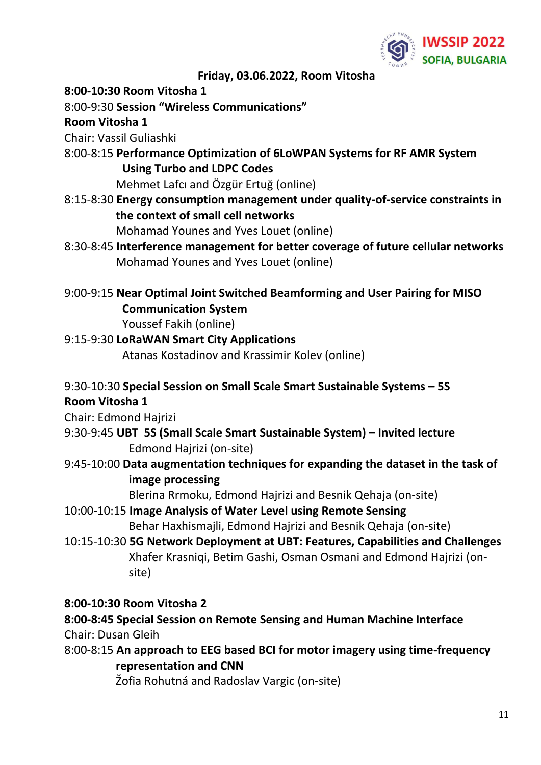

**Friday, 03.06.2022, Room Vitosha**

**8:00-10:30 Room Vitosha 1**

8:00-9:30 **Session "Wireless Communications"**

## **Room Vitosha 1**

Chair: Vassil Guliashki

8:00-8:15 **Performance Optimization of 6LoWPAN Systems for RF AMR System Using Turbo and LDPC Codes**

Mehmet Lafcı and Özgür Ertuğ (online)

8:15-8:30 **Energy consumption management under quality-of-service constraints in the context of small cell networks**

Mohamad Younes and Yves Louet (online)

- 8:30-8:45 **Interference management for better coverage of future cellular networks** Mohamad Younes and Yves Louet (online)
- 9:00-9:15 **Near Optimal Joint Switched Beamforming and User Pairing for MISO Communication System**

Youssef Fakih (online)

# 9:15-9:30 **LoRaWAN Smart City Applications**

Atanas Kostadinov and Krassimir Kolev (online)

# 9:30-10:30 **Special Session on Small Scale Smart Sustainable Systems – 5S Room Vitosha 1**

Chair: Edmond Hajrizi

- 9:30-9:45 **UBT 5S (Small Scale Smart Sustainable System) – Invited lecture** Edmond Hajrizi (on-site)
- 9:45-10:00 **Data augmentation techniques for expanding the dataset in the task of image processing**

Blerina Rrmoku, Edmond Hajrizi and Besnik Qehaja (on-site)

- 10:00-10:15 **Image Analysis of Water Level using Remote Sensing** Behar Haxhismajli, Edmond Hajrizi and Besnik Qehaja (on-site)
- 10:15-10:30 **5G Network Deployment at UBT: Features, Capabilities and Challenges** Xhafer Krasniqi, Betim Gashi, Osman Osmani and Edmond Hajrizi (onsite)

# **8:00-10:30 Room Vitosha 2**

**8:00-8:45 Special Session on Remote Sensing and Human Machine Interface** Chair: Dusan Gleih

8:00-8:15 **An approach to EEG based BCI for motor imagery using time-frequency representation and CNN**

Žofia Rohutná and Radoslav Vargic (on-site)